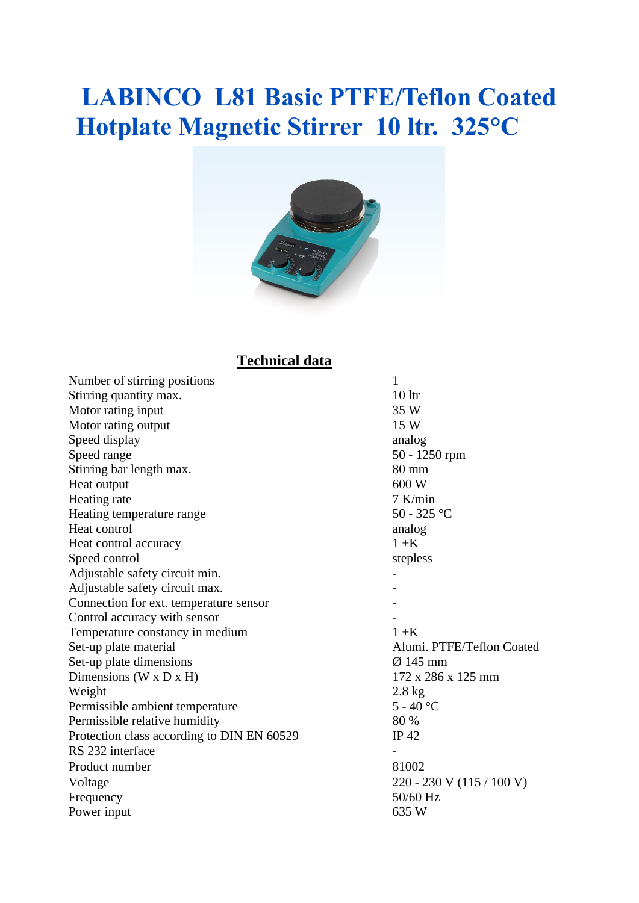## **LABINCO L81 Basic PTFE/Teflon Coated Hotplate Magnetic Stirrer 10 ltr. 325°C**



#### **Technical data**

| Number of stirring positions               | 1                         |
|--------------------------------------------|---------------------------|
| Stirring quantity max.                     | 10 <sup>1</sup>           |
| Motor rating input                         | 35 W                      |
| Motor rating output                        | 15 W                      |
| Speed display                              | analog                    |
| Speed range                                | 50 - 1250 rpm             |
| Stirring bar length max.                   | 80 mm                     |
| Heat output                                | 600 W                     |
| Heating rate                               | $7$ K/min                 |
| Heating temperature range                  | 50 - 325 °C               |
| Heat control                               | analog                    |
| Heat control accuracy                      | $1 \pm K$                 |
| Speed control                              | stepless                  |
| Adjustable safety circuit min.             |                           |
| Adjustable safety circuit max.             |                           |
| Connection for ext. temperature sensor     |                           |
| Control accuracy with sensor               |                           |
| Temperature constancy in medium            | $1 \pm K$                 |
| Set-up plate material                      | Alumi. PTFE/Teflon Coated |
| Set-up plate dimensions                    | $Ø$ 145 mm                |
| Dimensions (W x D x H)                     | 172 x 286 x 125 mm        |
| Weight                                     | $2.8 \text{ kg}$          |
| Permissible ambient temperature            | $5 - 40$ °C               |
| Permissible relative humidity              | 80 %                      |
| Protection class according to DIN EN 60529 | IP 42                     |
| RS 232 interface                           |                           |
| Product number                             | 81002                     |
| Voltage                                    | 220 - 230 V (115 / 100 V) |
| Frequency                                  | 50/60 Hz                  |
| Power input                                | 635 W                     |